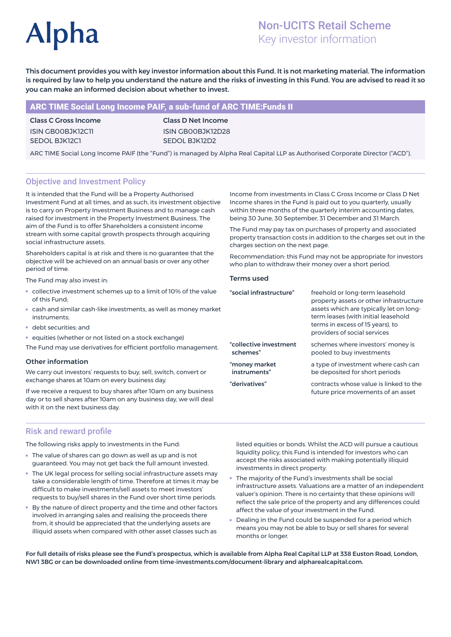# **Alpha**

# Non-UCITS Retail Scheme Key investor information

This document provides you with key investor information about this Fund. It is not marketing material. The information is required by law to help you understand the nature and the risks of investing in this Fund. You are advised to read it so you can make an informed decision about whether to invest.

# ARC TIME Social Long Income PAIF, a sub-fund of ARC TIME:Funds II

Class C Gross Income ISIN GB00BJK12C11 SEDOL BJK12C1

Class D Net Income ISIN GB00BJK12D28 SEDOL BJK12D2

ARC TIME Social Long Income PAIF (the "Fund") is managed by Alpha Real Capital LLP as Authorised Corporate Director ("ACD").

## Objective and Investment Policy

It is intended that the Fund will be a Property Authorised Investment Fund at all times, and as such, its investment objective is to carry on Property Investment Business and to manage cash raised for investment in the Property Investment Business. The aim of the Fund is to offer Shareholders a consistent income stream with some capital growth prospects through acquiring social infrastructure assets.

Shareholders capital is at risk and there is no guarantee that the objective will be achieved on an annual basis or over any other period of time.

The Fund may also invest in:

- collective investment schemes up to a limit of 10% of the value of this Fund;
- cash and similar cash-like investments, as well as money market instruments;
- debt securities; and
- equities (whether or not listed on a stock exchange)

The Fund may use derivatives for efficient portfolio management.

#### Other information

We carry out investors' requests to buy, sell, switch, convert or exchange shares at 10am on every business day.

If we receive a request to buy shares after 10am on any business day or to sell shares after 10am on any business day, we will deal with it on the next business day.

Income from investments in Class C Gross Income or Class D Net Income shares in the Fund is paid out to you quarterly, usually within three months of the quarterly interim accounting dates, being 30 June, 30 September, 31 December and 31 March.

The Fund may pay tax on purchases of property and associated property transaction costs in addition to the charges set out in the charges section on the next page.

Recommendation: this Fund may not be appropriate for investors who plan to withdraw their money over a short period.

#### Terms used

| "social infrastructure" | freehold or long-term leasehold<br>property assets or other infrastructure<br>assets which are typically let on long-<br>term leases (with initial leasehold<br>terms in excess of 15 years), to<br>providers of social services |
|-------------------------|----------------------------------------------------------------------------------------------------------------------------------------------------------------------------------------------------------------------------------|
| "collective investment  | schemes where investors' money is                                                                                                                                                                                                |
| schemes"                | pooled to buy investments                                                                                                                                                                                                        |
| "money market           | a type of investment where cash can                                                                                                                                                                                              |
| instruments"            | be deposited for short periods                                                                                                                                                                                                   |
| "derivatives"           | contracts whose value is linked to the<br>future price movements of an asset                                                                                                                                                     |

# Risk and reward profile

The following risks apply to investments in the Fund:

- The value of shares can go down as well as up and is not guaranteed. You may not get back the full amount invested.
- The UK legal process for selling social infrastructure assets may take a considerable length of time. Therefore at times it may be difficult to make investments/sell assets to meet investors' requests to buy/sell shares in the Fund over short time periods.
- By the nature of direct property and the time and other factors involved in arranging sales and realising the proceeds there from, it should be appreciated that the underlying assets are illiquid assets when compared with other asset classes such as

listed equities or bonds. Whilst the ACD will pursue a cautious liquidity policy, this Fund is intended for investors who can accept the risks associated with making potentially illiquid investments in direct property.

- The majority of the Fund's investments shall be social infrastructure assets. Valuations are a matter of an independent valuer's opinion. There is no certainty that these opinions will reflect the sale price of the property and any differences could affect the value of your investment in the Fund.
- Dealing in the Fund could be suspended for a period which means you may not be able to buy or sell shares for several months or longer.

For full details of risks please see the Fund's prospectus, which is available from Alpha Real Capital LLP at 338 Euston Road, London, NW1 3BG or can be downloaded online from time-investments.com/document-library and alpharealcapital.com.